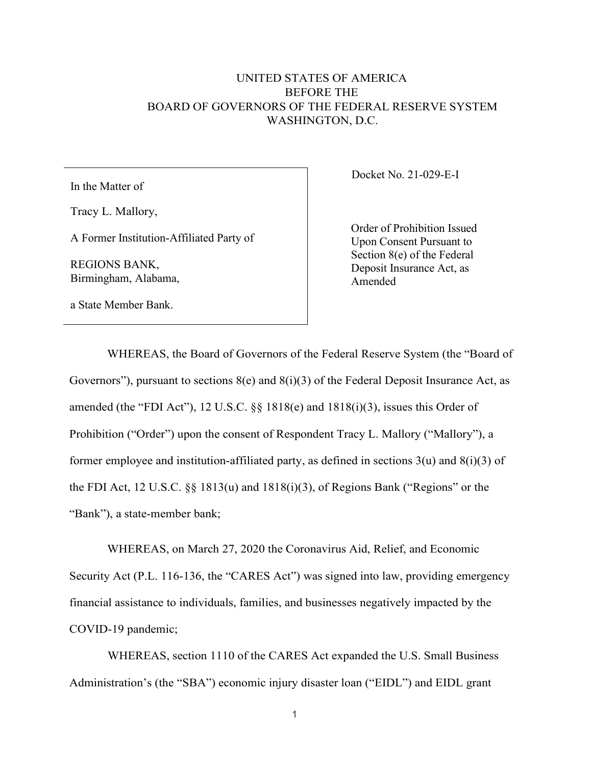## UNITED STATES OF AMERICA BEFORE THE BOARD OF GOVERNORS OF THE FEDERAL RESERVE SYSTEM WASHINGTON, D.C.

In the Matter of

Tracy L. Mallory,

A Former Institution-Affiliated Party of

REGIONS BANK, Birmingham, Alabama, Docket No. 21-029-E-I

Order of Prohibition Issued Upon Consent Pursuant to Section 8(e) of the Federal Deposit Insurance Act, as Amended

a State Member Bank.

WHEREAS, the Board of Governors of the Federal Reserve System (the "Board of Governors"), pursuant to sections  $8(e)$  and  $8(i)(3)$  of the Federal Deposit Insurance Act, as amended (the "FDI Act"), 12 U.S.C. §§ 1818(e) and 1818(i)(3), issues this Order of Prohibition ("Order") upon the consent of Respondent Tracy L. Mallory ("Mallory"), a former employee and institution-affiliated party, as defined in sections 3(u) and 8(i)(3) of the FDI Act, 12 U.S.C. §§ 1813(u) and 1818(i)(3), of Regions Bank ("Regions" or the "Bank"), a state-member bank;

WHEREAS, on March 27, 2020 the Coronavirus Aid, Relief, and Economic Security Act (P.L. 116-136, the "CARES Act") was signed into law, providing emergency financial assistance to individuals, families, and businesses negatively impacted by the COVID-19 pandemic;

WHEREAS, section 1110 of the CARES Act expanded the U.S. Small Business Administration's (the "SBA") economic injury disaster loan ("EIDL") and EIDL grant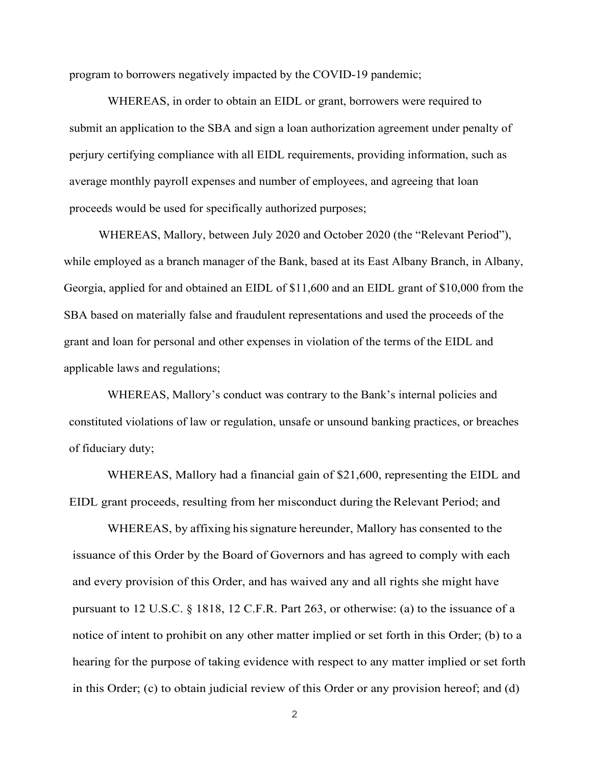program to borrowers negatively impacted by the COVID-19 pandemic;

WHEREAS, in order to obtain an EIDL or grant, borrowers were required to submit an application to the SBA and sign a loan authorization agreement under penalty of perjury certifying compliance with all EIDL requirements, providing information, such as average monthly payroll expenses and number of employees, and agreeing that loan proceeds would be used for specifically authorized purposes;

WHEREAS, Mallory, between July 2020 and October 2020 (the "Relevant Period"), while employed as a branch manager of the Bank, based at its East Albany Branch, in Albany, Georgia, applied for and obtained an EIDL of \$11,600 and an EIDL grant of \$10,000 from the SBA based on materially false and fraudulent representations and used the proceeds of the grant and loan for personal and other expenses in violation of the terms of the EIDL and applicable laws and regulations;

WHEREAS, Mallory's conduct was contrary to the Bank's internal policies and constituted violations of law or regulation, unsafe or unsound banking practices, or breaches of fiduciary duty;

WHEREAS, Mallory had a financial gain of \$21,600, representing the EIDL and EIDL grant proceeds, resulting from her misconduct during the Relevant Period; and

WHEREAS, by affixing his signature hereunder, Mallory has consented to the issuance of this Order by the Board of Governors and has agreed to comply with each and every provision of this Order, and has waived any and all rights she might have pursuant to 12 U.S.C. § 1818, 12 C.F.R. Part 263, or otherwise: (a) to the issuance of a notice of intent to prohibit on any other matter implied or set forth in this Order; (b) to a hearing for the purpose of taking evidence with respect to any matter implied or set forth in this Order; (c) to obtain judicial review of this Order or any provision hereof; and (d)

2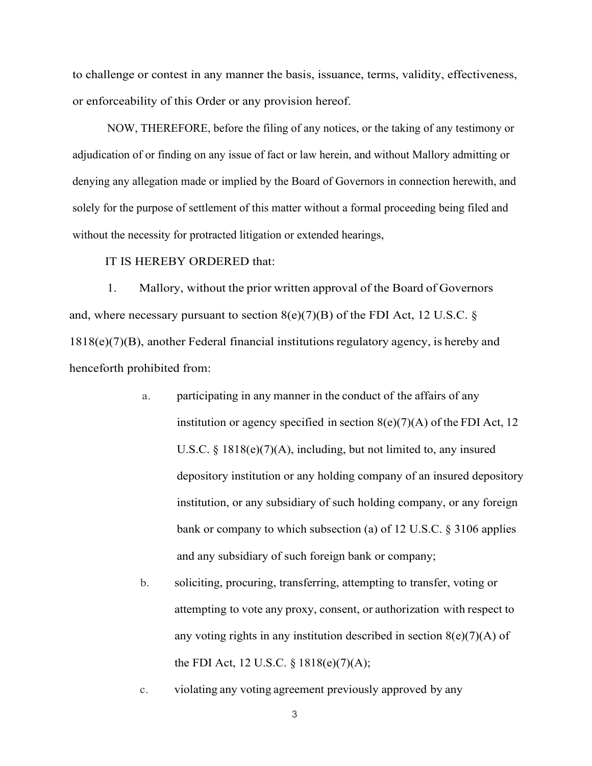to challenge or contest in any manner the basis, issuance, terms, validity, effectiveness, or enforceability of this Order or any provision hereof.

NOW, THEREFORE, before the filing of any notices, or the taking of any testimony or adjudication of or finding on any issue of fact or law herein, and without Mallory admitting or denying any allegation made or implied by the Board of Governors in connection herewith, and solely for the purpose of settlement of this matter without a formal proceeding being filed and without the necessity for protracted litigation or extended hearings,

## IT IS HEREBY ORDERED that:

1. Mallory, without the prior written approval of the Board of Governors and, where necessary pursuant to section  $8(e)(7)(B)$  of the FDI Act, 12 U.S.C. § 1818(e)(7)(B), another Federal financial institutions regulatory agency, is hereby and henceforth prohibited from:

- a. participating in any manner in the conduct of the affairs of any institution or agency specified in section  $8(e)(7)(A)$  of the FDI Act, 12 U.S.C. § 1818(e)(7)(A), including, but not limited to, any insured depository institution or any holding company of an insured depository institution, or any subsidiary of such holding company, or any foreign bank or company to which subsection (a) of 12 U.S.C. § 3106 applies and any subsidiary of such foreign bank or company;
- b. soliciting, procuring, transferring, attempting to transfer, voting or attempting to vote any proxy, consent, or authorization with respect to any voting rights in any institution described in section  $8(e)(7)(A)$  of the FDI Act, 12 U.S.C. § 1818(e)(7)(A);

c. violating any voting agreement previously approved by any

3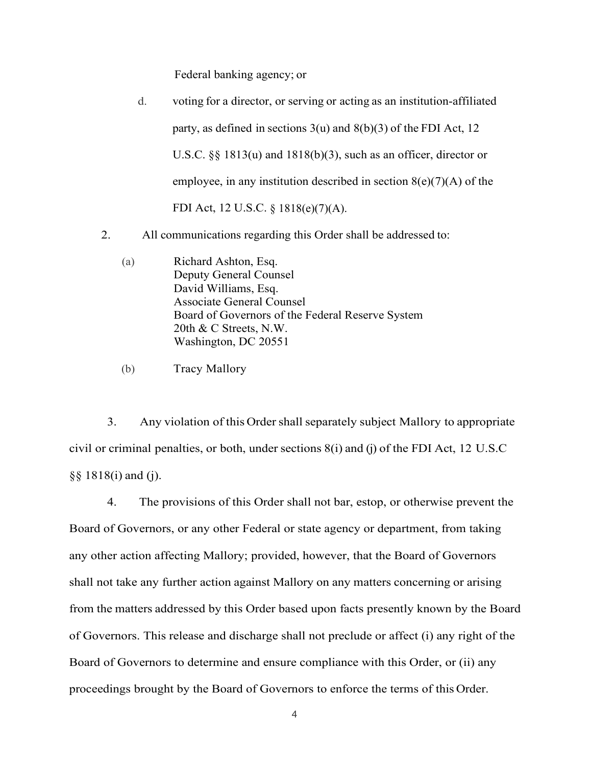Federal banking agency; or

| $\mathbf{d}$ . | voting for a director, or serving or acting as an institution-affiliated |
|----------------|--------------------------------------------------------------------------|
|                | party, as defined in sections $3(u)$ and $8(b)(3)$ of the FDI Act, 12    |
|                | U.S.C. $\S$ 1813(u) and 1818(b)(3), such as an officer, director or      |
|                | employee, in any institution described in section $8(e)(7)(A)$ of the    |
|                | FDI Act, 12 U.S.C. § 1818(e)(7)(A).                                      |

- 2. All communications regarding this Order shall be addressed to:
	- (a) Richard Ashton, Esq. Deputy General Counsel David Williams, Esq. Associate General Counsel Board of Governors of the Federal Reserve System 20th & C Streets, N.W. Washington, DC 20551

(b) Tracy Mallory

3. Any violation of this Ordershall separately subject Mallory to appropriate civil or criminal penalties, or both, under sections 8(i) and (j) of the FDI Act, 12 U.S.C §§ 1818(i) and (j).

4. The provisions of this Order shall not bar, estop, or otherwise prevent the Board of Governors, or any other Federal or state agency or department, from taking any other action affecting Mallory; provided, however, that the Board of Governors shall not take any further action against Mallory on any matters concerning or arising from the matters addressed by this Order based upon facts presently known by the Board of Governors. This release and discharge shall not preclude or affect (i) any right of the Board of Governors to determine and ensure compliance with this Order, or (ii) any proceedings brought by the Board of Governors to enforce the terms of this Order.